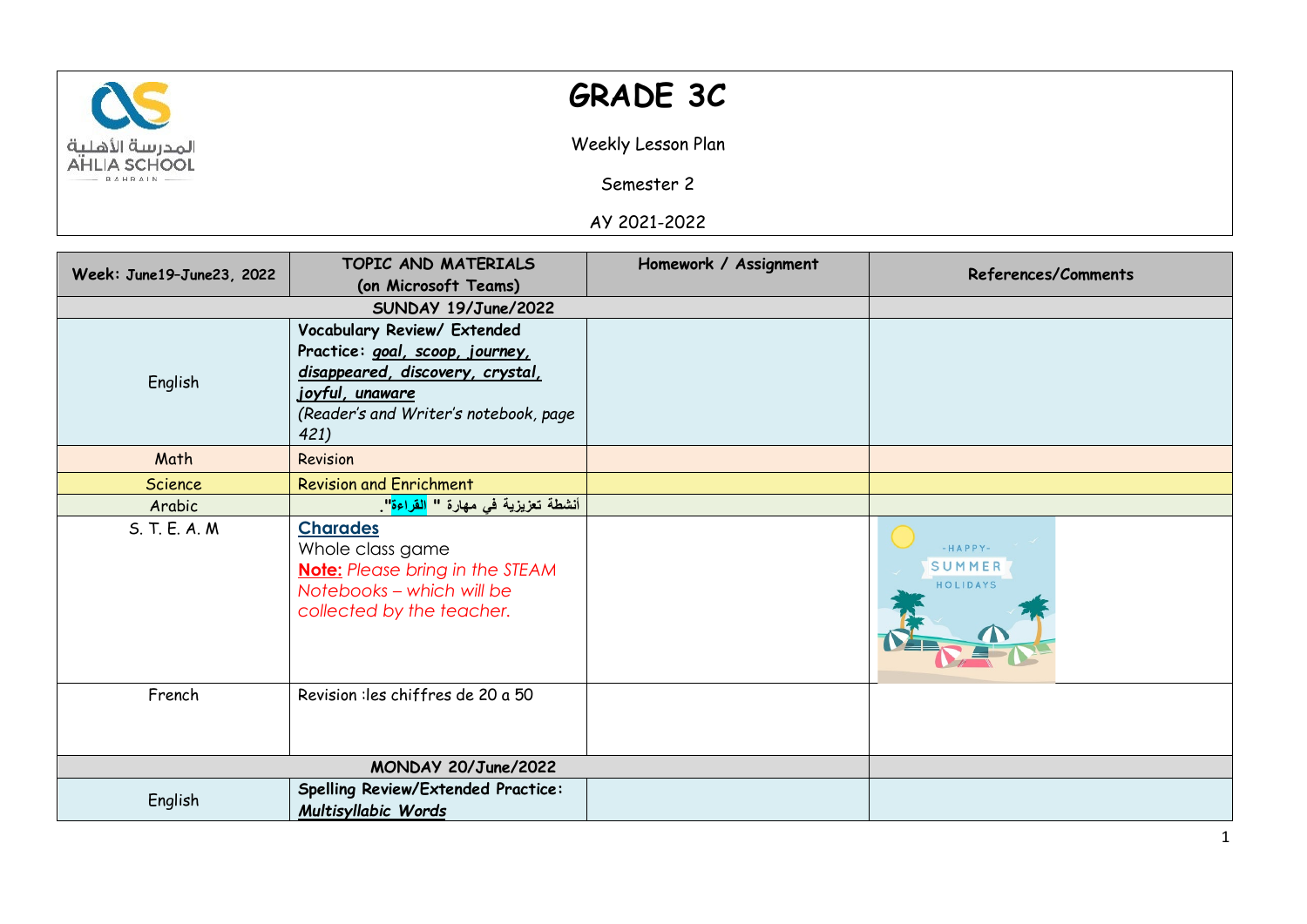

## **GRADE 3C**

Weekly Lesson Plan

Semester 2

AY 2021-2022

| Week: June19-June23, 2022 | TOPIC AND MATERIALS                              | Homework / Assignment | References/Comments |
|---------------------------|--------------------------------------------------|-----------------------|---------------------|
|                           | (on Microsoft Teams)                             |                       |                     |
|                           | SUNDAY 19/June/2022                              |                       |                     |
|                           | Vocabulary Review/ Extended                      |                       |                     |
| English                   | Practice: goal, scoop, journey,                  |                       |                     |
|                           | disappeared, discovery, crystal,                 |                       |                     |
|                           | <u>joyful, unaware</u>                           |                       |                     |
|                           | (Reader's and Writer's notebook, page            |                       |                     |
|                           | 421)                                             |                       |                     |
| Math                      | Revision                                         |                       |                     |
| <b>Science</b>            | <b>Revision and Enrichment</b>                   |                       |                     |
| Arabic                    | أنشطة تعزيزية في مهارة " <mark>القراءة</mark> ". |                       |                     |
| S. T. E. A. M.            | <b>Charades</b>                                  |                       |                     |
|                           | Whole class game                                 |                       | $-HAPPY-$           |
|                           | <b>Note:</b> Please bring in the STEAM           |                       | SUMMER              |
|                           | Notebooks - which will be                        |                       | HOLIDAYS            |
|                           | collected by the teacher.                        |                       |                     |
|                           |                                                  |                       |                     |
|                           |                                                  |                       |                     |
| French                    | Revision : les chiffres de 20 a 50               |                       |                     |
|                           |                                                  |                       |                     |
|                           |                                                  |                       |                     |
|                           |                                                  |                       |                     |
| MONDAY 20/June/2022       |                                                  |                       |                     |
| English                   | <b>Spelling Review/Extended Practice:</b>        |                       |                     |
|                           | Multisyllabic Words                              |                       |                     |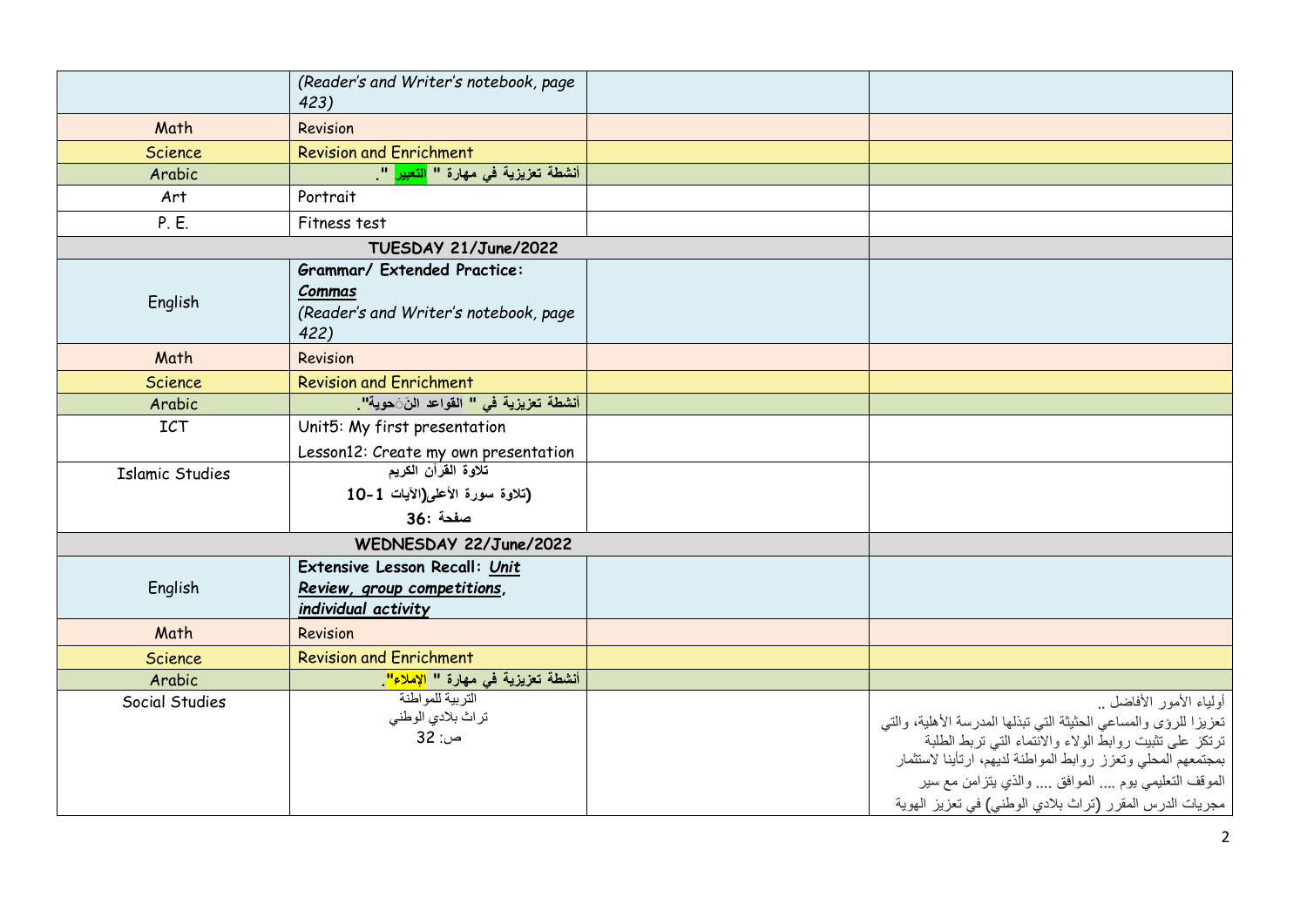|                        | (Reader's and Writer's notebook, page<br>423)                                                 |                                                                                                                                                                                                                                                                                                                                         |
|------------------------|-----------------------------------------------------------------------------------------------|-----------------------------------------------------------------------------------------------------------------------------------------------------------------------------------------------------------------------------------------------------------------------------------------------------------------------------------------|
| Math                   | Revision                                                                                      |                                                                                                                                                                                                                                                                                                                                         |
| <b>Science</b>         | <b>Revision and Enrichment</b>                                                                |                                                                                                                                                                                                                                                                                                                                         |
| Arabic                 | أنشطة تعزيزية في مهارة " <mark>التعبير</mark> ".                                              |                                                                                                                                                                                                                                                                                                                                         |
| Art                    | Portrait                                                                                      |                                                                                                                                                                                                                                                                                                                                         |
| P. E.                  | Fitness test                                                                                  |                                                                                                                                                                                                                                                                                                                                         |
|                        | TUESDAY 21/June/2022                                                                          |                                                                                                                                                                                                                                                                                                                                         |
| English                | <b>Grammar/ Extended Practice:</b><br>Commas<br>(Reader's and Writer's notebook, page<br>422) |                                                                                                                                                                                                                                                                                                                                         |
| Math                   | Revision                                                                                      |                                                                                                                                                                                                                                                                                                                                         |
| <b>Science</b>         | <b>Revision and Enrichment</b>                                                                |                                                                                                                                                                                                                                                                                                                                         |
| Arabic                 | أنشطة تعزيزية <mark>في " القوا</mark> عد النَ <b>َ</b> حوية" <mark>.</mark>                   |                                                                                                                                                                                                                                                                                                                                         |
| <b>ICT</b>             | Unit5: My first presentation                                                                  |                                                                                                                                                                                                                                                                                                                                         |
|                        | Lesson12: Create my own presentation                                                          |                                                                                                                                                                                                                                                                                                                                         |
| <b>Islamic Studies</b> | <u>تلاوة القرآن الكريم</u>                                                                    |                                                                                                                                                                                                                                                                                                                                         |
|                        | (تلاوة سورة الأعلى(الآيات 1-10                                                                |                                                                                                                                                                                                                                                                                                                                         |
|                        | صفحة :36                                                                                      |                                                                                                                                                                                                                                                                                                                                         |
|                        | WEDNESDAY 22/June/2022                                                                        |                                                                                                                                                                                                                                                                                                                                         |
| English                | Extensive Lesson Recall: Unit<br>Review, group competitions,<br>individual activity           |                                                                                                                                                                                                                                                                                                                                         |
| Math                   | Revision                                                                                      |                                                                                                                                                                                                                                                                                                                                         |
| <b>Science</b>         | <b>Revision and Enrichment</b>                                                                |                                                                                                                                                                                                                                                                                                                                         |
| Arabic                 | أنشطة تعزيزية في مهارة " <mark>الإملاء"</mark>                                                |                                                                                                                                                                                                                                                                                                                                         |
| Social Studies         | التربية للمواطنة<br>تراث بلادي الوطني<br>ص: 32                                                | أولياء الأمور الأفاضل<br>تعزيزا للرؤى والمساعي الحثيثة التي تبذلها المدرسة الأهلية، والتي<br>ترتكز على تثبيت روابطُّ الولاء والانْتماء التي تربط الطلبة<br>بمجتمعهم المحلى وتعزز روابط المواطنة لديهم، ارتأينا لاستثمار<br>الموقف التعليمي يوم  الموافق  والذي يتزامن مع سير<br>مجريات الدرس المقرر (تراث بلادي الوطني) في تعزيز الهوية |